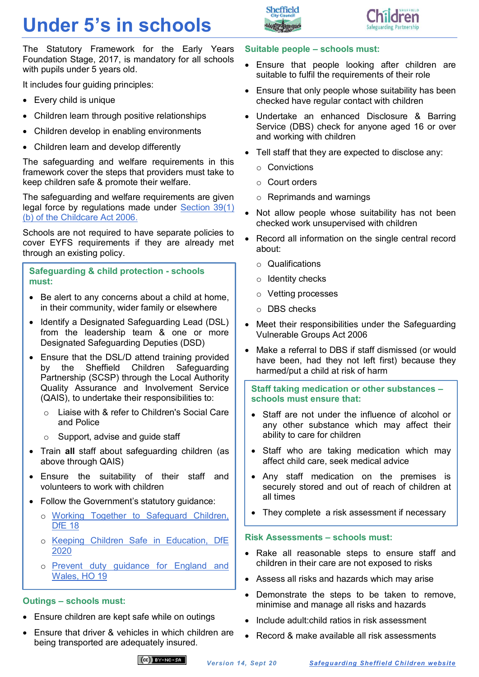# **Under 5's in schools**





The Statutory Framework for the Early Years Foundation Stage, 2017, is mandatory for all schools with pupils under 5 years old.

It includes four guiding principles:

- Every child is unique
- Children learn through positive relationships
- Children develop in enabling environments
- Children learn and develop differently

The safeguarding and welfare requirements in this framework cover the steps that providers must take to keep children safe & promote their welfare.

The safeguarding and welfare requirements are given legal force by regulations made under [Section 39\(1\)](https://www.legislation.gov.uk/ukpga/2006/21/section/39)  [\(b\) of the Childcare Act 2006.](https://www.legislation.gov.uk/ukpga/2006/21/section/39)

Schools are not required to have separate policies to cover EYFS requirements if they are already met through an existing policy.

**Safeguarding & child protection - schools must:**

- Be alert to any concerns about a child at home. in their community, wider family or elsewhere
- Identify a Designated Safeguarding Lead (DSL) from the leadership team & one or more Designated Safeguarding Deputies (DSD)
- Ensure that the DSL/D attend training provided by the Sheffield Children Safeguarding Partnership (SCSP) through the Local Authority Quality Assurance and Involvement Service (QAIS), to undertake their responsibilities to:
	- o Liaise with & refer to Children's Social Care and Police
	- $\circ$  Support, advise and quide staff
- Train **all** staff about safeguarding children (as above through QAIS)
- Ensure the suitability of their staff and volunteers to work with children
- Follow the Government's statutory guidance:
	- o [Working Together to Safeguard Children,](https://www.gov.uk/government/publications/working-together-to-safeguard-children--2)  DfE<sub>18</sub>
	- o [Keeping Children Safe in Education, DfE](https://www.gov.uk/government/publications/keeping-children-safe-in-education--2)  [2020](https://www.gov.uk/government/publications/keeping-children-safe-in-education--2)
	- o [Prevent duty guidance for England and](https://www.gov.uk/government/publications/prevent-duty-guidance)  [Wales, HO 19](https://www.gov.uk/government/publications/prevent-duty-guidance)

## **Outings – schools must:**

- Ensure children are kept safe while on outings
- Ensure that driver & vehicles in which children are being transported are adequately insured.

### **Suitable people – schools must:**

- Ensure that people looking after children are suitable to fulfil the requirements of their role
- Ensure that only people whose suitability has been checked have regular contact with children
- Undertake an enhanced Disclosure & Barring Service (DBS) check for anyone aged 16 or over and working with children
- Tell staff that they are expected to disclose any:
	- o Convictions
	- o Court orders
	- o Reprimands and warnings
- Not allow people whose suitability has not been checked work unsupervised with children
- Record all information on the single central record about:
	- o Qualifications
	- o Identity checks
	- o Vetting processes
	- o DBS checks
- Meet their responsibilities under the Safeguarding Vulnerable Groups Act 2006
- Make a referral to DBS if staff dismissed (or would have been, had they not left first) because they harmed/put a child at risk of harm

**Staff taking medication or other substances – schools must ensure that:**

- Staff are not under the influence of alcohol or any other substance which may affect their ability to care for children
- Staff who are taking medication which may affect child care, seek medical advice
- Any staff medication on the premises is securely stored and out of reach of children at all times
- They complete a risk assessment if necessary

### **Risk Assessments – schools must:**

- Rake all reasonable steps to ensure staff and children in their care are not exposed to risks
- Assess all risks and hazards which may arise
- Demonstrate the steps to be taken to remove, minimise and manage all risks and hazards
- Include adult:child ratios in risk assessment
- Record & make available all risk assessments

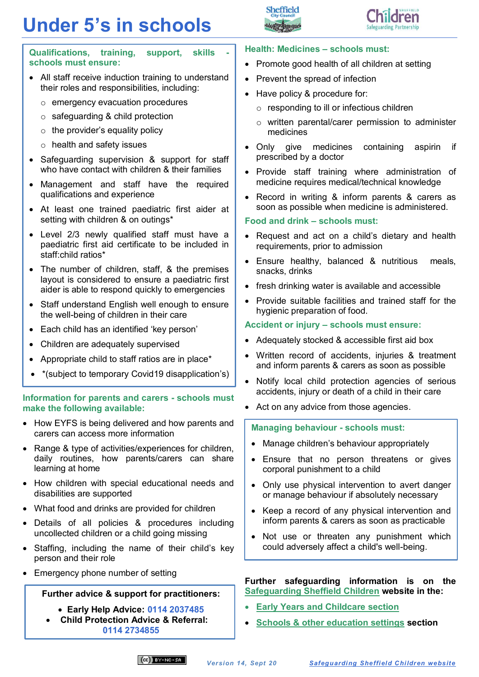# **Under 5's in schools**





**Qualifications, training, support, skills schools must ensure:**

- All staff receive induction training to understand their roles and responsibilities, including:
	- o emergency evacuation procedures
	- $\circ$  safeguarding & child protection
	- $\circ$  the provider's equality policy
	- o health and safety issues
- Safeguarding supervision & support for staff who have contact with children & their families
- Management and staff have the required qualifications and experience
- At least one trained paediatric first aider at setting with children & on outings\*
- Level 2/3 newly qualified staff must have a paediatric first aid certificate to be included in staff:child ratios\*
- The number of children, staff, & the premises layout is considered to ensure a paediatric first aider is able to respond quickly to emergencies
- Staff understand English well enough to ensure the well-being of children in their care
- Each child has an identified 'key person'
- Children are adequately supervised
- Appropriate child to staff ratios are in place\*
- \*(subject to temporary Covid19 disapplication's)

#### **Information for parents and carers - schools must make the following available:**

- How EYFS is being delivered and how parents and carers can access more information
- Range & type of activities/experiences for children, daily routines, how parents/carers can share learning at home
- How children with special educational needs and disabilities are supported
- What food and drinks are provided for children
- Details of all policies & procedures including uncollected children or a child going missing
- Staffing, including the name of their child's key person and their role
- Emergency phone number of setting

#### **Further advice & support for practitioners:**

- **Early Help Advice: 0114 2037485**
- **Child Protection Advice & Referral: 0114 2734855**

#### **Health: Medicines – schools must:**

- Promote good health of all children at setting
- Prevent the spread of infection
- Have policy & procedure for:
	- $\circ$  responding to ill or infectious children
	- o written parental/carer permission to administer medicines
- Only give medicines containing aspirin if prescribed by a doctor
- Provide staff training where administration of medicine requires medical/technical knowledge
- Record in writing & inform parents & carers as soon as possible when medicine is administered.

#### **Food and drink – schools must:**

- Request and act on a child's dietary and health requirements, prior to admission
- Ensure healthy, balanced & nutritious meals, snacks, drinks
- fresh drinking water is available and accessible
- Provide suitable facilities and trained staff for the hygienic preparation of food.

#### **Accident or injury – schools must ensure:**

- Adequately stocked & accessible first aid box
- Written record of accidents, injuries & treatment and inform parents & carers as soon as possible
- Notify local child protection agencies of serious accidents, injury or death of a child in their care
- Act on any advice from those agencies.

#### **Managing behaviour - schools must:**

- Manage children's behaviour appropriately
- Ensure that no person threatens or gives corporal punishment to a child
- Only use physical intervention to avert danger or manage behaviour if absolutely necessary
- Keep a record of any physical intervention and inform parents & carers as soon as practicable
- Not use or threaten any punishment which could adversely affect a child's well-being.

#### **Further safeguarding information is on the [Safeguarding Sheffield Children](https://www.safeguardingsheffieldchildren.org/) website in the:**

- **[Early Years and Childcare](https://www.safeguardingsheffieldchildren.org/sscb/early-years/early-years-and-childcare-settings) section**
- **[Schools & other education settings](https://www.safeguardingsheffieldchildren.org/sscb/education/sheffield-education-settings) section**